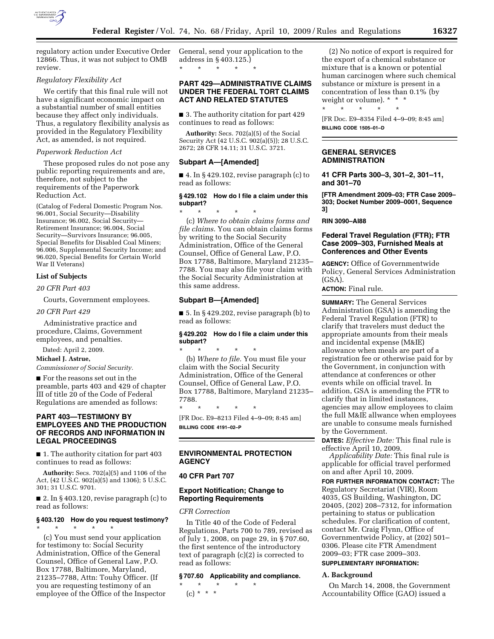

regulatory action under Executive Order 12866. Thus, it was not subject to OMB review.

#### *Regulatory Flexibility Act*

We certify that this final rule will not have a significant economic impact on a substantial number of small entities because they affect only individuals. Thus, a regulatory flexibility analysis as provided in the Regulatory Flexibility Act, as amended, is not required.

#### *Paperwork Reduction Act*

These proposed rules do not pose any public reporting requirements and are, therefore, not subject to the requirements of the Paperwork Reduction Act.

(Catalog of Federal Domestic Program Nos. 96.001, Social Security—Disability Insurance; 96.002, Social Security— Retirement Insurance; 96.004, Social Security—Survivors Insurance; 96.005, Special Benefits for Disabled Coal Miners; 96.006, Supplemental Security Income; and 96.020, Special Benefits for Certain World War II Veterans)

#### **List of Subjects**

*20 CFR Part 403* 

Courts, Government employees.

*20 CFR Part 429* 

Administrative practice and procedure, Claims, Government employees, and penalties.

Dated: April 2, 2009.

#### **Michael J. Astrue,**

*Commissioner of Social Security.* 

■ For the reasons set out in the preamble, parts 403 and 429 of chapter III of title 20 of the Code of Federal Regulations are amended as follows:

### **PART 403—TESTIMONY BY EMPLOYEES AND THE PRODUCTION OF RECORDS AND INFORMATION IN LEGAL PROCEEDINGS**

■ 1. The authority citation for part 403 continues to read as follows:

**Authority:** Secs. 702(a)(5) and 1106 of the Act, (42 U.S.C. 902(a)(5) and 1306); 5 U.S.C. 301; 31 U.S.C. 9701.

 $\blacksquare$  2. In § 403.120, revise paragraph (c) to read as follows:

### **§ 403.120 How do you request testimony?**

\* \* \* \* \* (c) You must send your application for testimony to: Social Security Administration, Office of the General Counsel, Office of General Law, P.O. Box 17788, Baltimore, Maryland, 21235–7788, Attn: Touhy Officer. (If you are requesting testimony of an employee of the Office of the Inspector General, send your application to the address in § 403.125.) \* \* \* \* \*

### **PART 429—ADMINISTRATIVE CLAIMS UNDER THE FEDERAL TORT CLAIMS ACT AND RELATED STATUTES**

■ 3. The authority citation for part 429 continues to read as follows:

**Authority:** Secs. 702(a)(5) of the Social Security Act (42 U.S.C. 902(a)(5)); 28 U.S.C. 2672; 28 CFR 14.11; 31 U.S.C. 3721.

#### **Subpart A—[Amended]**

 $\blacksquare$  4. In § 429.102, revise paragraph (c) to read as follows:

#### **§ 429.102 How do I file a claim under this subpart?**

\* \* \* \* \* (c) *Where to obtain claims forms and file claims*. You can obtain claims forms by writing to the Social Security Administration, Office of the General Counsel, Office of General Law, P.O. Box 17788, Baltimore, Maryland 21235– 7788. You may also file your claim with the Social Security Administration at this same address.

#### **Subpart B—[Amended]**

\* \* \* \* \*

 $\blacksquare$  5. In § 429.202, revise paragraph (b) to read as follows:

#### **§ 429.202 How do I file a claim under this subpart?**

\* \* \* \* \* (b) *Where to file.* You must file your claim with the Social Security Administration, Office of the General Counsel, Office of General Law, P.O. Box 17788, Baltimore, Maryland 21235– 7788.

[FR Doc. E9–8213 Filed 4–9–09; 8:45 am] **BILLING CODE 4191–02–P** 

#### **ENVIRONMENTAL PROTECTION AGENCY**

#### **40 CFR Part 707**

#### **Export Notification; Change to Reporting Requirements**

*CFR Correction* 

In Title 40 of the Code of Federal Regulations, Parts 700 to 789, revised as of July 1, 2008, on page 29, in § 707.60, the first sentence of the introductory text of paragraph (c)(2) is corrected to read as follows:

### **§ 707.60 Applicability and compliance.**

\* \* \* \* \* (c) \* \* \*

(2) No notice of export is required for the export of a chemical substance or mixture that is a known or potential human carcinogen where such chemical substance or mixture is present in a concentration of less than 0.1% (by weight or volume). \* \* \* \* \* \* \* \*

[FR Doc. E9–8354 Filed 4–9–09; 8:45 am] **BILLING CODE 1505–01–D** 

#### **GENERAL SERVICES ADMINISTRATION**

**41 CFR Parts 300–3, 301–2, 301–11, and 301–70** 

**[FTR Amendment 2009–03; FTR Case 2009– 303; Docket Number 2009–0001, Sequence 3]** 

**RIN 3090–AI88** 

### **Federal Travel Regulation (FTR); FTR Case 2009–303, Furnished Meals at Conferences and Other Events**

**AGENCY:** Office of Governmentwide Policy, General Services Administration (GSA).

**ACTION:** Final rule.

**SUMMARY:** The General Services Administration (GSA) is amending the Federal Travel Regulation (FTR) to clarify that travelers must deduct the appropriate amounts from their meals and incidental expense (M&IE) allowance when meals are part of a registration fee or otherwise paid for by the Government, in conjunction with attendance at conferences or other events while on official travel. In addition, GSA is amending the FTR to clarify that in limited instances, agencies may allow employees to claim the full M&IE allwance when employees are unable to consume meals furnished by the Government.

**DATES:** *Effective Date:* This final rule is effective April 10, 2009.

*Applicability Date:* This final rule is applicable for official travel performed on and after April 10, 2009.

**FOR FURTHER INFORMATION CONTACT:** The Regulatory Secretariat (VIR), Room 4035, GS Building, Washington, DC 20405, (202) 208–7312, for information pertaining to status or publication schedules. For clarification of content, contact Mr. Craig Flynn, Office of Governmentwide Policy, at (202) 501– 0306. Please cite FTR Amendment 2009–03; FTR case 2009–303.

# **SUPPLEMENTARY INFORMATION:**

## **A. Background**

On March 14, 2008, the Government Accountability Office (GAO) issued a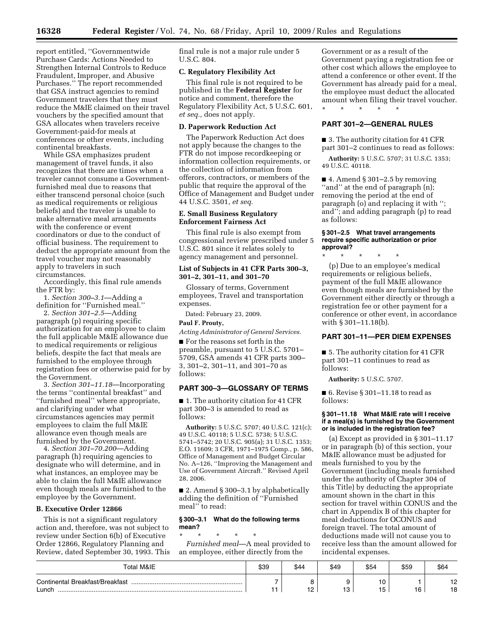report entitled, ''Governmentwide Purchase Cards: Actions Needed to Strengthen Internal Controls to Reduce Fraudulent, Improper, and Abusive Purchases.'' The report recommended that GSA instruct agencies to remind Government travelers that they must reduce the M&IE claimed on their travel vouchers by the specified amount that GSA allocates when travelers receive Government-paid-for meals at conferences or other events, including continental breakfasts.

While GSA emphasizes prudent management of travel funds, it also recognizes that there are times when a traveler cannot consume a Governmentfurnished meal due to reasons that either transcend personal choice (such as medical requirements or religious beliefs) and the traveler is unable to make alternative meal arrangements with the conference or event coordinators or due to the conduct of official business. The requirement to deduct the appropriate amount from the travel voucher may not reasonably apply to travelers in such circumstances.

Accordingly, this final rule amends the FTR by:

1. *Section 300–3.1*—Adding a definition for ''Furnished meal.''

2. *Section 301–2.5*—Adding paragraph (p) requiring specific authorization for an employee to claim the full applicable M&IE allowance due to medical requirements or religious beliefs, despite the fact that meals are furnished to the employee through registration fees or otherwise paid for by the Government.

3. *Section 301–11.18*—Incorporating the terms ''continental breakfast'' and ''furnished meal'' where appropriate, and clarifying under what circumstances agencies may permit employees to claim the full M&IE allowance even though meals are furnished by the Government.

4. *Section 301–70.200*—Adding paragraph (h) requiring agencies to designate who will determine, and in what instances, an employee may be able to claim the full M&IE allowance even though meals are furnished to the employee by the Government.

#### **B. Executive Order 12866**

This is not a significant regulatory action and, therefore, was not subject to review under Section 6(b) of Executive Order 12866, Regulatory Planning and Review, dated September 30, 1993. This final rule is not a major rule under 5 U.S.C. 804.

### **C. Regulatory Flexibility Act**

This final rule is not required to be published in the **Federal Register** for notice and comment, therefore the Regulatory Flexibility Act, 5 U.S.C. 601, *et seq.,* does not apply.

#### **D. Paperwork Reduction Act**

The Paperwork Reduction Act does not apply because the changes to the FTR do not impose recordkeeping or information collection requirements, or the collection of information from offerors, contractors, or members of the public that require the approval of the Office of Management and Budget under 44 U.S.C. 3501, *et seq.* 

#### **E. Small Business Regulatory Enforcement Fairness Act**

This final rule is also exempt from congressional review prescribed under 5 U.S.C. 801 since it relates solely to agency management and personnel.

### **List of Subjects in 41 CFR Parts 300–3, 301–2, 301–11, and 301–70**

Glossary of terms, Government employees, Travel and transportation expenses.

Dated: February 23, 2009.

### **Paul F. Prouty,**

*Acting Administrator of General Services.* 

■ For the reasons set forth in the preamble, pursuant to 5 U.S.C. 5701– 5709, GSA amends 41 CFR parts 300– 3, 301–2, 301–11, and 301–70 as follows:

#### **PART 300–3—GLOSSARY OF TERMS**

■ 1. The authority citation for 41 CFR part 300–3 is amended to read as follows:

**Authority:** 5 U.S.C. 5707; 40 U.S.C. 121(c); 49 U.S.C. 40118; 5 U.S.C. 5738; 5 U.S.C. 5741–5742; 20 U.S.C. 905(a); 31 U.S.C. 1353; E.O. 11609; 3 CFR, 1971–1975 Comp., p. 586, Office of Management and Budget Circular No. A–126, ''Improving the Management and Use of Government Aircraft.'' Revised April 28, 2006.

■ 2. Amend § 300–3.1 by alphabetically adding the definition of ''Furnished meal'' to read:

#### **§ 300–3.1 What do the following terms mean?**

\* \* \* \* \* *Furnished meal*—A meal provided to an employee, either directly from the

Government or as a result of the Government paying a registration fee or other cost which allows the employee to attend a conference or other event. If the Government has already paid for a meal, the employee must deduct the allocated amount when filing their travel voucher. \* \* \* \* \*

## **PART 301–2—GENERAL RULES**

■ 3. The authority citation for 41 CFR part 301–2 continues to read as follows:

**Authority:** 5 U.S.C. 5707; 31 U.S.C. 1353; 49 U.S.C. 40118.

■ 4. Amend § 301–2.5 by removing ''and'' at the end of paragraph (n); removing the period at the end of paragraph (o) and replacing it with ''; and''; and adding paragraph (p) to read as follows:

### **§ 301–2.5 What travel arrangements require specific authorization or prior approval?**

\* \* \* \* \*

(p) Due to an employee's medical requirements or religious beliefs, payment of the full M&IE allowance even though meals are furnished by the Government either directly or through a registration fee or other payment for a conference or other event, in accordance with § 301–11.18(b).

## **PART 301–11—PER DIEM EXPENSES**

■ 5. The authority citation for 41 CFR part 301–11 continues to read as follows:

**Authority:** 5 U.S.C. 5707.

■ 6. Revise § 301–11.18 to read as follows:

### **§ 301–11.18 What M&IE rate will I receive if a meal(s) is furnished by the Government or is included in the registration fee?**

(a) Except as provided in § 301–11.17 or in paragraph (b) of this section, your M&IE allowance must be adjusted for meals furnished to you by the Government (including meals furnished under the authority of Chapter 304 of this Title) by deducting the appropriate amount shown in the chart in this section for travel within CONUS and the chart in Appendix B of this chapter for meal deductions for OCONUS and foreign travel. The total amount of deductions made will not cause you to receive less than the amount allowed for incidental expenses.

| <b>Total M&amp;IE</b>           | \$39 | \$44       | \$49 | \$54     | \$59      | \$64 |
|---------------------------------|------|------------|------|----------|-----------|------|
| Continental Breakfast/Breakfast |      |            |      | טו       |           | 10   |
| Lunch                           |      | $\epsilon$ | ັ    | n<br>. ت | م م<br>טו | 18   |